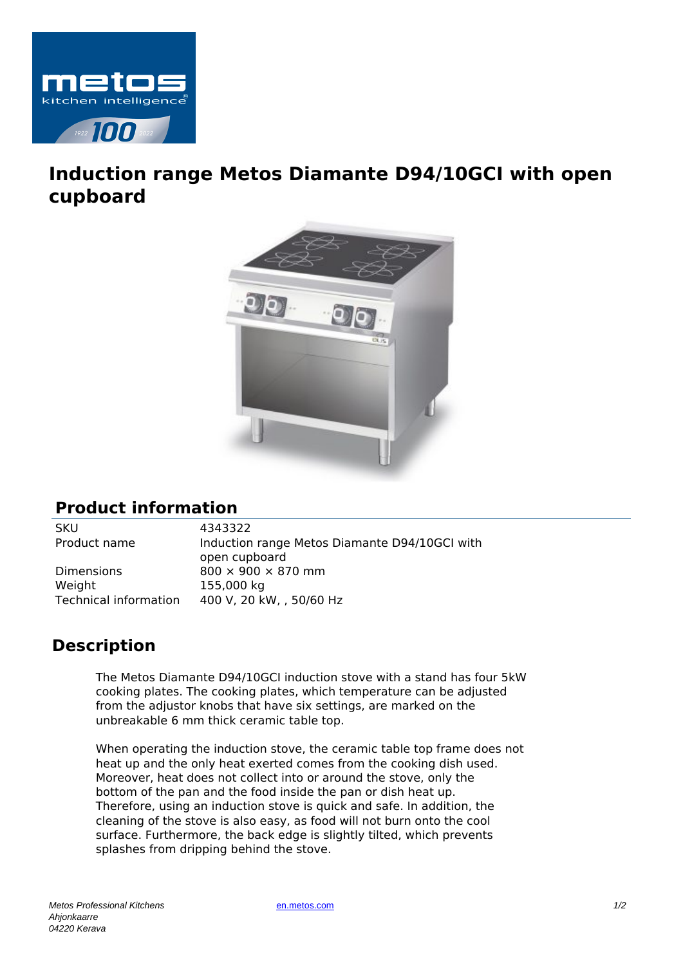

## **Induction range Metos Diamante D94/10GCI with open cupboard**



## **Product information**

SKU 4343322

Dimensions 800  $\times$  900  $\times$  870 mm Weight 155,000 kg

Product name Induction range Metos Diamante D94/10GCI with open cupboard Technical information 400 V, 20 kW, , 50/60 Hz

## **Description**

The Metos Diamante D94/10GCI induction stove with a stand has four 5kW cooking plates. The cooking plates, which temperature can be adjusted from the adjustor knobs that have six settings, are marked on the unbreakable 6 mm thick ceramic table top.

When operating the induction stove, the ceramic table top frame does not heat up and the only heat exerted comes from the cooking dish used. Moreover, heat does not collect into or around the stove, only the bottom of the pan and the food inside the pan or dish heat up. Therefore, using an induction stove is quick and safe. In addition, the cleaning of the stove is also easy, as food will not burn onto the cool surface. Furthermore, the back edge is slightly tilted, which prevents splashes from dripping behind the stove.